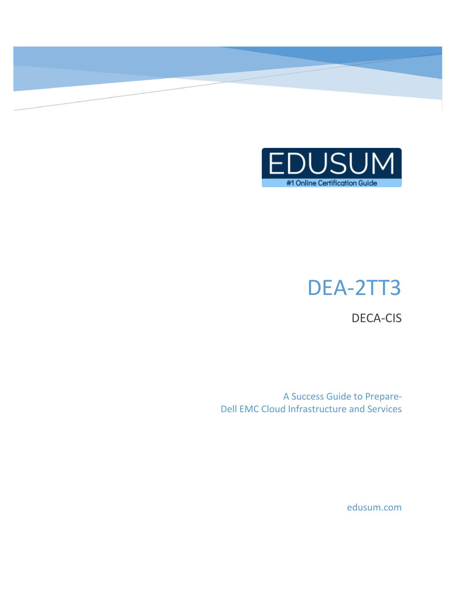

# DEA-2TT3

DECA-CIS

A Success Guide to Prepare-Dell EMC Cloud Infrastructure and Services

edusum.com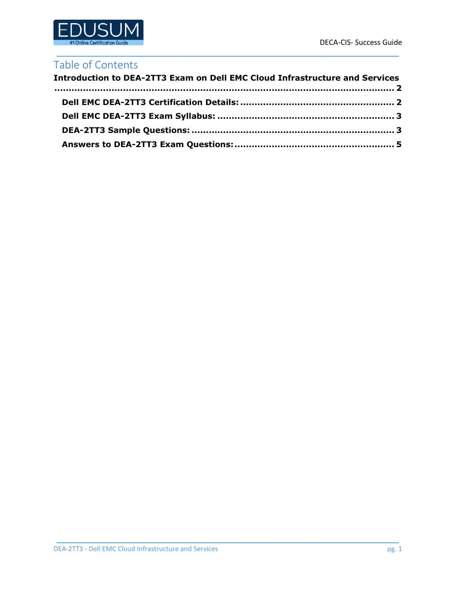

### Table of Contents

| <b>Introduction to DEA-2TT3 Exam on Dell EMC Cloud Infrastructure and Services</b> |  |
|------------------------------------------------------------------------------------|--|
|                                                                                    |  |
|                                                                                    |  |
|                                                                                    |  |
|                                                                                    |  |

\_\_\_\_\_\_\_\_\_\_\_\_\_\_\_\_\_\_\_\_\_\_\_\_\_\_\_\_\_\_\_\_\_\_\_\_\_\_\_\_\_\_\_\_\_\_\_\_\_\_\_\_\_\_\_\_\_\_\_\_\_\_\_\_\_\_\_\_\_\_\_\_\_\_\_\_\_\_\_\_\_\_\_\_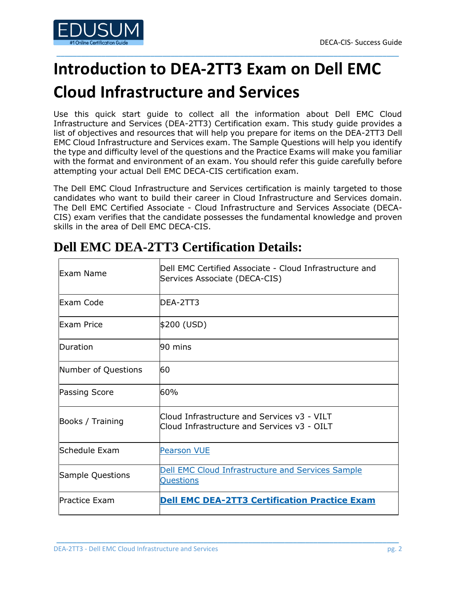

# <span id="page-2-0"></span>**Introduction to DEA-2TT3 Exam on Dell EMC**

\_\_\_\_\_\_\_\_\_\_\_\_\_\_\_\_\_\_\_\_\_\_\_\_\_\_\_\_\_\_\_\_\_\_\_\_\_\_\_\_\_\_\_\_\_\_\_\_\_\_\_\_\_\_\_\_\_\_\_\_\_\_\_\_\_\_\_\_\_\_\_\_\_\_\_\_\_\_\_\_\_\_\_\_

# **Cloud Infrastructure and Services**

Use this quick start guide to collect all the information about Dell EMC Cloud Infrastructure and Services (DEA-2TT3) Certification exam. This study guide provides a list of objectives and resources that will help you prepare for items on the DEA-2TT3 Dell EMC Cloud Infrastructure and Services exam. The Sample Questions will help you identify the type and difficulty level of the questions and the Practice Exams will make you familiar with the format and environment of an exam. You should refer this guide carefully before attempting your actual Dell EMC DECA-CIS certification exam.

The Dell EMC Cloud Infrastructure and Services certification is mainly targeted to those candidates who want to build their career in Cloud Infrastructure and Services domain. The Dell EMC Certified Associate - Cloud Infrastructure and Services Associate (DECA-CIS) exam verifies that the candidate possesses the fundamental knowledge and proven skills in the area of Dell EMC DECA-CIS.

| Exam Name               | Dell EMC Certified Associate - Cloud Infrastructure and<br>Services Associate (DECA-CIS)   |  |
|-------------------------|--------------------------------------------------------------------------------------------|--|
| Exam Code               | DEA-2TT3                                                                                   |  |
| Exam Price              | \$200 (USD)                                                                                |  |
| Duration                | l90 mins                                                                                   |  |
| Number of Questions     | 60                                                                                         |  |
| <b>Passing Score</b>    | 60%                                                                                        |  |
| Books / Training        | Cloud Infrastructure and Services v3 - VILT<br>Cloud Infrastructure and Services v3 - OILT |  |
| Schedule Exam           | <b>Pearson VUE</b>                                                                         |  |
| <b>Sample Questions</b> | Dell EMC Cloud Infrastructure and Services Sample<br><b>Questions</b>                      |  |
| Practice Exam           | <b>Dell EMC DEA-2TT3 Certification Practice Exam</b>                                       |  |

\_\_\_\_\_\_\_\_\_\_\_\_\_\_\_\_\_\_\_\_\_\_\_\_\_\_\_\_\_\_\_\_\_\_\_\_\_\_\_\_\_\_\_\_\_\_\_\_\_\_\_\_\_\_\_\_\_\_\_\_\_\_\_\_\_\_\_\_\_\_\_\_\_\_\_\_\_\_\_\_\_\_\_\_

## <span id="page-2-1"></span>**Dell EMC DEA-2TT3 Certification Details:**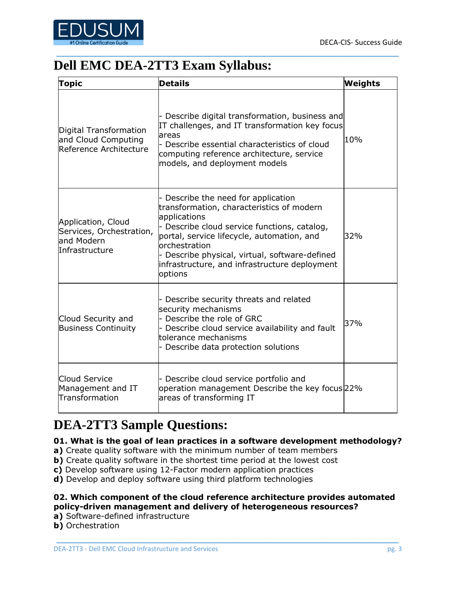

# <span id="page-3-0"></span>**Dell EMC DEA-2TT3 Exam Syllabus:**

| <b>Topic</b>                                                                    | <b>Details</b>                                                                                                                                                                                                                                                                                                            | Weights |
|---------------------------------------------------------------------------------|---------------------------------------------------------------------------------------------------------------------------------------------------------------------------------------------------------------------------------------------------------------------------------------------------------------------------|---------|
| Digital Transformation<br>and Cloud Computing<br>Reference Architecture         | Describe digital transformation, business and<br>IT challenges, and IT transformation key focus<br>lareas<br>- Describe essential characteristics of cloud<br>computing reference architecture, service<br>models, and deployment models                                                                                  | 10%     |
| Application, Cloud<br>Services, Orchestration,<br>land Modern<br>Infrastructure | Describe the need for application<br>transformation, characteristics of modern<br>applications<br>- Describe cloud service functions, catalog,<br>portal, service lifecycle, automation, and<br>orchestration<br>Describe physical, virtual, software-defined<br>infrastructure, and infrastructure deployment<br>options | 32%     |
| Cloud Security and<br><b>Business Continuity</b>                                | Describe security threats and related<br>security mechanisms<br>- Describe the role of GRC<br>- Describe cloud service availability and fault<br>tolerance mechanisms<br>- Describe data protection solutions                                                                                                             | 37%     |
| Cloud Service<br>Management and IT<br>Transformation                            | - Describe cloud service portfolio and<br>operation management Describe the key focus 22%<br>areas of transforming IT                                                                                                                                                                                                     |         |

\_\_\_\_\_\_\_\_\_\_\_\_\_\_\_\_\_\_\_\_\_\_\_\_\_\_\_\_\_\_\_\_\_\_\_\_\_\_\_\_\_\_\_\_\_\_\_\_\_\_\_\_\_\_\_\_\_\_\_\_\_\_\_\_\_\_\_\_\_\_\_\_\_\_\_\_\_\_\_\_\_\_\_\_

# <span id="page-3-1"></span>**DEA-2TT3 Sample Questions:**

#### **01. What is the goal of lean practices in a software development methodology?**

- **a)** Create quality software with the minimum number of team members
- **b)** Create quality software in the shortest time period at the lowest cost
- **c)** Develop software using 12-Factor modern application practices
- **d)** Develop and deploy software using third platform technologies

#### **02. Which component of the cloud reference architecture provides automated policy-driven management and delivery of heterogeneous resources?**

- **a)** Software-defined infrastructure
- **b)** Orchestration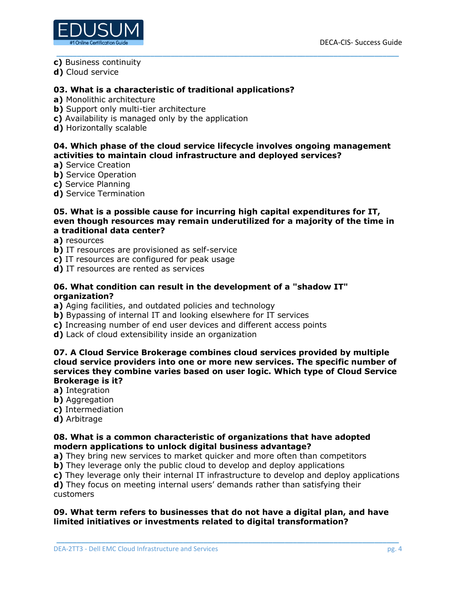

- **c)** Business continuity
- **d)** Cloud service

#### **03. What is a characteristic of traditional applications?**

- **a)** Monolithic architecture
- **b**) Support only multi-tier architecture
- **c)** Availability is managed only by the application
- **d)** Horizontally scalable

#### **04. Which phase of the cloud service lifecycle involves ongoing management activities to maintain cloud infrastructure and deployed services?**

\_\_\_\_\_\_\_\_\_\_\_\_\_\_\_\_\_\_\_\_\_\_\_\_\_\_\_\_\_\_\_\_\_\_\_\_\_\_\_\_\_\_\_\_\_\_\_\_\_\_\_\_\_\_\_\_\_\_\_\_\_\_\_\_\_\_\_\_\_\_\_\_\_\_\_\_\_\_\_\_\_\_\_\_

- **a)** Service Creation
- **b)** Service Operation
- **c)** Service Planning
- **d)** Service Termination

#### **05. What is a possible cause for incurring high capital expenditures for IT, even though resources may remain underutilized for a majority of the time in a traditional data center?**

**a)** resources

- **b)** IT resources are provisioned as self-service
- **c)** IT resources are configured for peak usage
- **d)** IT resources are rented as services

#### **06. What condition can result in the development of a "shadow IT" organization?**

- **a)** Aging facilities, and outdated policies and technology
- **b)** Bypassing of internal IT and looking elsewhere for IT services
- **c)** Increasing number of end user devices and different access points
- **d)** Lack of cloud extensibility inside an organization

#### **07. A Cloud Service Brokerage combines cloud services provided by multiple cloud service providers into one or more new services. The specific number of services they combine varies based on user logic. Which type of Cloud Service Brokerage is it?**

- **a)** Integration
- **b)** Aggregation
- **c)** Intermediation
- **d)** Arbitrage

#### **08. What is a common characteristic of organizations that have adopted modern applications to unlock digital business advantage?**

- **a)** They bring new services to market quicker and more often than competitors
- **b)** They leverage only the public cloud to develop and deploy applications
- **c)** They leverage only their internal IT infrastructure to develop and deploy applications

**d)** They focus on meeting internal users' demands rather than satisfying their customers

#### **09. What term refers to businesses that do not have a digital plan, and have limited initiatives or investments related to digital transformation?**